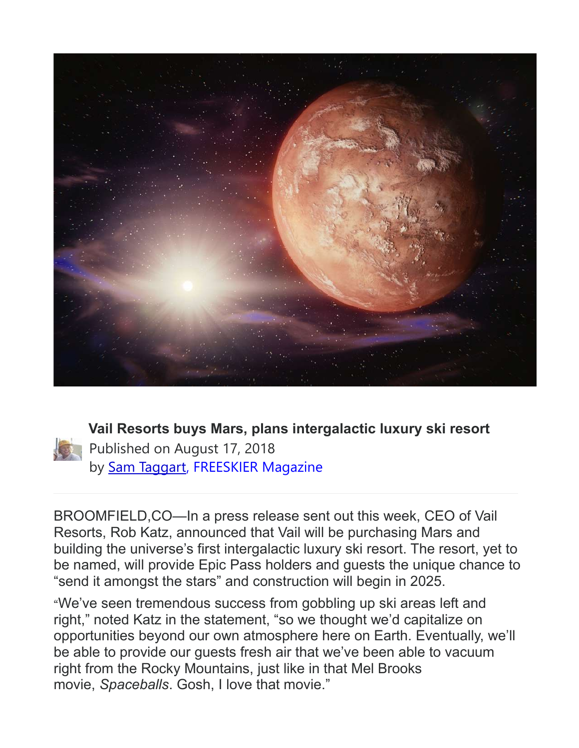



**Vail Resorts buys Mars, plans intergalactic luxury ski resort** Published on August 17, 2018 by [Sam Taggart,](https://freeskier.com/author/samtaggart) FREESKIER Magazine

BROOMFIELD,CO—In a press release sent out this week, CEO of Vail Resorts, Rob Katz, announced that Vail will be purchasing Mars and building the universe's first intergalactic luxury ski resort. The resort, yet to be named, will provide Epic Pass holders and guests the unique chance to "send it amongst the stars" and construction will begin in 2025.

"We've seen tremendous success from gobbling up ski areas left and right," noted Katz in the statement, "so we thought we'd capitalize on opportunities beyond our own atmosphere here on Earth. Eventually, we'll be able to provide our guests fresh air that we've been able to vacuum right from the Rocky Mountains, just like in that Mel Brooks movie, *Spaceballs*. Gosh, I love that movie."